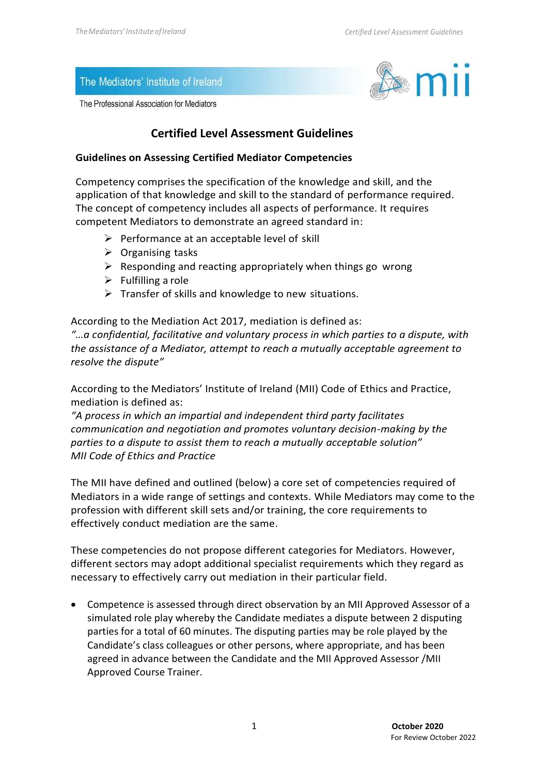#### The Mediators' Institute of Ireland

The Professional Association for Mediators



### **Certified Level Assessment Guidelines**

#### **Guidelines on Assessing Certified Mediator Competencies**

Competency comprises the specification of the knowledge and skill, and the application of that knowledge and skill to the standard of performance required. The concept of competency includes all aspects of performance. It requires competent Mediators to demonstrate an agreed standard in:

- $\triangleright$  Performance at an acceptable level of skill
- $\triangleright$  Organising tasks
- $\triangleright$  Responding and reacting appropriately when things go wrong
- $\triangleright$  Fulfilling a role
- ➢ Transfer of skills and knowledge to new situations.

According to the Mediation Act 2017, mediation is defined as: *"…a confidential, facilitative and voluntary process in which parties to a dispute, with the assistance of a Mediator, attempt to reach a mutually acceptable agreement to resolve the dispute"*

According to the Mediators' Institute of Ireland (MII) Code of Ethics and Practice, mediation is defined as:

*"A process in which an impartial and independent third party facilitates communication and negotiation and promotes voluntary decision-making by the parties to a dispute to assist them to reach a mutually acceptable solution" MII Code of Ethics and Practice*

The MII have defined and outlined (below) a core set of competencies required of Mediators in a wide range of settings and contexts. While Mediators may come to the profession with different skill sets and/or training, the core requirements to effectively conduct mediation are the same.

These competencies do not propose different categories for Mediators. However, different sectors may adopt additional specialist requirements which they regard as necessary to effectively carry out mediation in their particular field.

• Competence is assessed through direct observation by an MII Approved Assessor of a simulated role play whereby the Candidate mediates a dispute between 2 disputing parties for a total of 60 minutes. The disputing parties may be role played by the Candidate's class colleagues or other persons, where appropriate, and has been agreed in advance between the Candidate and the MII Approved Assessor /MII Approved Course Trainer.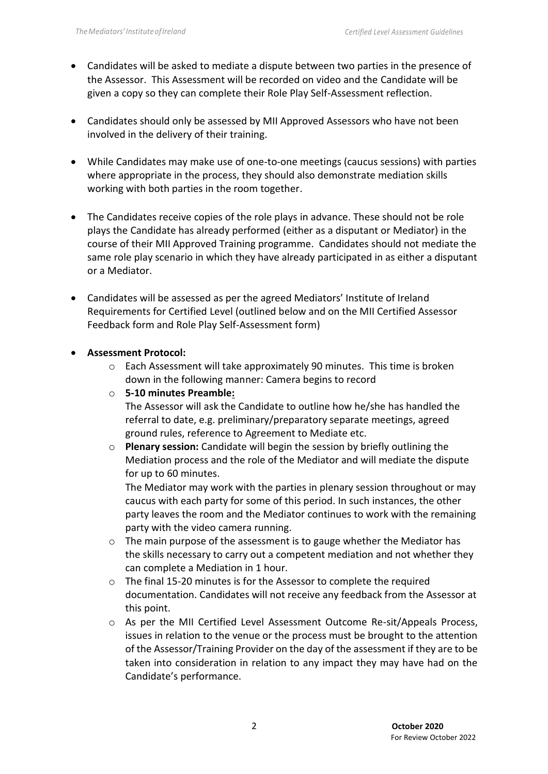- Candidates will be asked to mediate a dispute between two parties in the presence of the Assessor. This Assessment will be recorded on video and the Candidate will be given a copy so they can complete their Role Play Self-Assessment reflection.
- Candidates should only be assessed by MII Approved Assessors who have not been involved in the delivery of their training.
- While Candidates may make use of one-to-one meetings (caucus sessions) with parties where appropriate in the process, they should also demonstrate mediation skills working with both parties in the room together.
- The Candidates receive copies of the role plays in advance. These should not be role plays the Candidate has already performed (either as a disputant or Mediator) in the course of their MII Approved Training programme. Candidates should not mediate the same role play scenario in which they have already participated in as either a disputant or a Mediator.
- Candidates will be assessed as per the agreed Mediators' Institute of Ireland Requirements for Certified Level (outlined below and on the MII Certified Assessor Feedback form and Role Play Self-Assessment form)

#### • **Assessment Protocol:**

- $\circ$  Each Assessment will take approximately 90 minutes. This time is broken down in the following manner: Camera begins to record
- o **5-10 minutes Preamble:**

The Assessor will ask the Candidate to outline how he/she has handled the referral to date, e.g. preliminary/preparatory separate meetings, agreed ground rules, reference to Agreement to Mediate etc.

o **Plenary session:** Candidate will begin the session by briefly outlining the Mediation process and the role of the Mediator and will mediate the dispute for up to 60 minutes.

The Mediator may work with the parties in plenary session throughout or may caucus with each party for some of this period. In such instances, the other party leaves the room and the Mediator continues to work with the remaining party with the video camera running.

- $\circ$  The main purpose of the assessment is to gauge whether the Mediator has the skills necessary to carry out a competent mediation and not whether they can complete a Mediation in 1 hour.
- o The final 15-20 minutes is for the Assessor to complete the required documentation. Candidates will not receive any feedback from the Assessor at this point.
- o As per the MII Certified Level Assessment Outcome Re-sit/Appeals Process, issues in relation to the venue or the process must be brought to the attention of the Assessor/Training Provider on the day of the assessment if they are to be taken into consideration in relation to any impact they may have had on the Candidate's performance.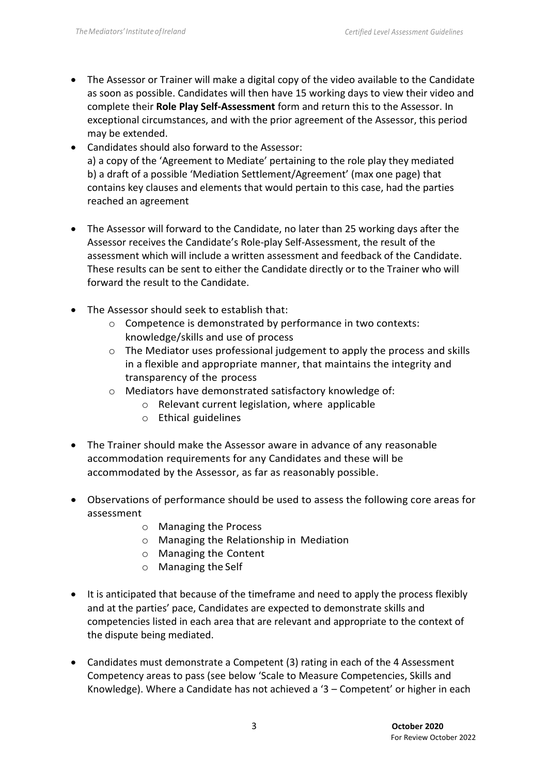- The Assessor or Trainer will make a digital copy of the video available to the Candidate as soon as possible. Candidates will then have 15 working days to view their video and complete their **Role Play Self-Assessment** form and return this to the Assessor. In exceptional circumstances, and with the prior agreement of the Assessor, this period may be extended.
- Candidates should also forward to the Assessor: a) a copy of the 'Agreement to Mediate' pertaining to the role play they mediated b) a draft of a possible 'Mediation Settlement/Agreement' (max one page) that contains key clauses and elements that would pertain to this case, had the parties reached an agreement
- The Assessor will forward to the Candidate, no later than 25 working days after the Assessor receives the Candidate's Role-play Self-Assessment, the result of the assessment which will include a written assessment and feedback of the Candidate. These results can be sent to either the Candidate directly or to the Trainer who will forward the result to the Candidate.
- The Assessor should seek to establish that:
	- o Competence is demonstrated by performance in two contexts: knowledge/skills and use of process
	- o The Mediator uses professional judgement to apply the process and skills in a flexible and appropriate manner, that maintains the integrity and transparency of the process
	- o Mediators have demonstrated satisfactory knowledge of:
		- o Relevant current legislation, where applicable
		- o Ethical guidelines
- The Trainer should make the Assessor aware in advance of any reasonable accommodation requirements for any Candidates and these will be accommodated by the Assessor, as far as reasonably possible.
- Observations of performance should be used to assess the following core areas for assessment
	- o Managing the Process
	- o Managing the Relationship in Mediation
	- o Managing the Content
	- o Managing the Self
- It is anticipated that because of the timeframe and need to apply the process flexibly and at the parties' pace, Candidates are expected to demonstrate skills and competencies listed in each area that are relevant and appropriate to the context of the dispute being mediated.
- Candidates must demonstrate a Competent (3) rating in each of the 4 Assessment Competency areas to pass (see below 'Scale to Measure Competencies, Skills and Knowledge). Where a Candidate has not achieved a '3 – Competent' or higher in each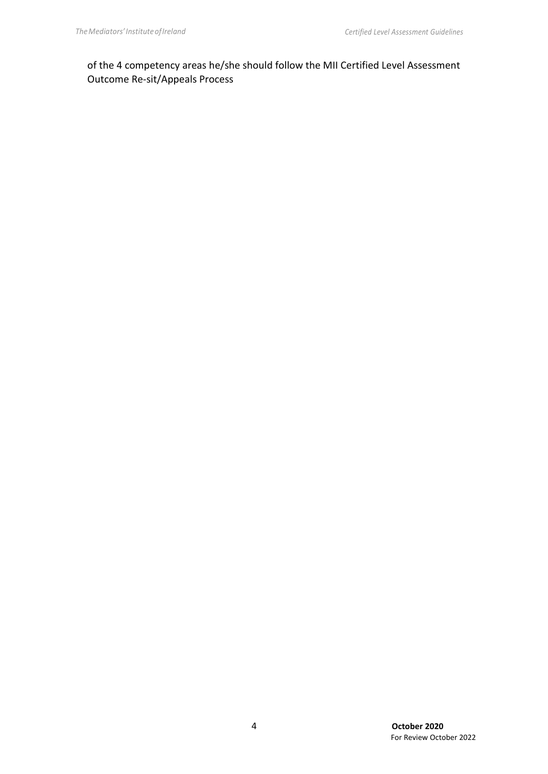of the 4 competency areas he/she should follow the MII Certified Level Assessment Outcome Re-sit/Appeals Process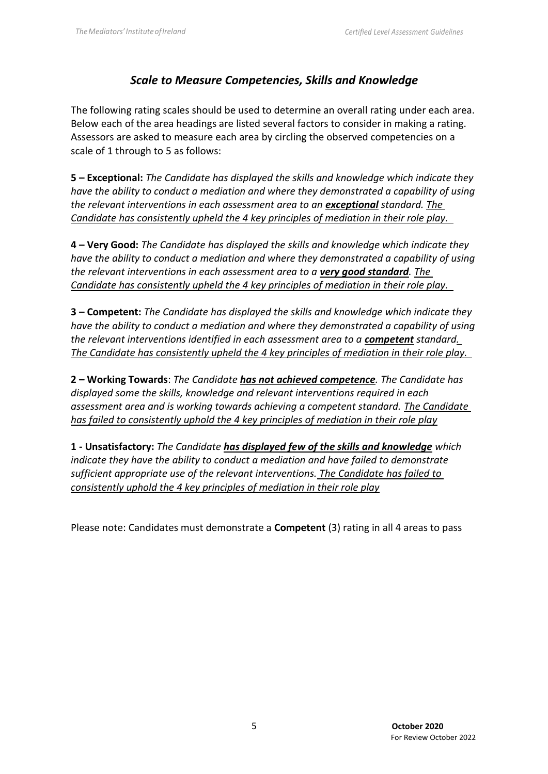# *Scale to Measure Competencies, Skills and Knowledge*

The following rating scales should be used to determine an overall rating under each area. Below each of the area headings are listed several factors to consider in making a rating. Assessors are asked to measure each area by circling the observed competencies on a scale of 1 through to 5 as follows:

**5 – Exceptional:** *The Candidate has displayed the skills and knowledge which indicate they have the ability to conduct a mediation and where they demonstrated a capability of using the relevant interventions in each assessment area to an exceptional standard. The Candidate has consistently upheld the 4 key principles of mediation in their role play.* 

**4 – Very Good:** *The Candidate has displayed the skills and knowledge which indicate they have the ability to conduct a mediation and where they demonstrated a capability of using the relevant interventions in each assessment area to a very good standard. The Candidate has consistently upheld the 4 key principles of mediation in their role play.* 

**3 – Competent:** *The Candidate has displayed the skills and knowledge which indicate they have the ability to conduct a mediation and where they demonstrated a capability of using the relevant interventions identified in each assessment area to a <i>competent* standard. *The Candidate has consistently upheld the 4 key principles of mediation in their role play.* 

**2 – Working Towards**: *The Candidate has not achieved competence. The Candidate has displayed some the skills, knowledge and relevant interventions required in each assessment area and is working towards achieving a competent standard. The Candidate has failed to consistently uphold the 4 key principles of mediation in their role play*

**1 - Unsatisfactory:** *The Candidate has displayed few of the skills and knowledge which indicate they have the ability to conduct a mediation and have failed to demonstrate sufficient appropriate use of the relevant interventions. The Candidate has failed to consistently uphold the 4 key principles of mediation in their role play*

Please note: Candidates must demonstrate a **Competent** (3) rating in all 4 areas to pass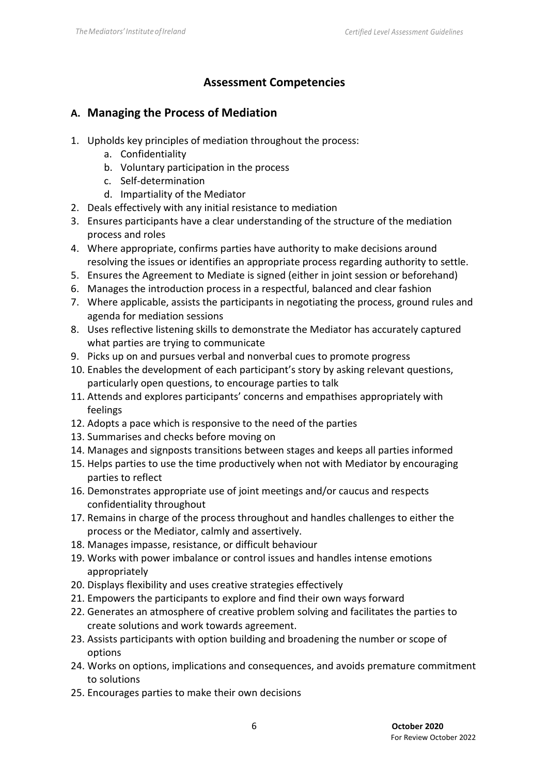# **Assessment Competencies**

## **A. Managing the Process of Mediation**

- 1. Upholds key principles of mediation throughout the process:
	- a. Confidentiality
	- b. Voluntary participation in the process
	- c. Self-determination
	- d. Impartiality of the Mediator
- 2. Deals effectively with any initial resistance to mediation
- 3. Ensures participants have a clear understanding of the structure of the mediation process and roles
- 4. Where appropriate, confirms parties have authority to make decisions around resolving the issues or identifies an appropriate process regarding authority to settle.
- 5. Ensures the Agreement to Mediate is signed (either in joint session or beforehand)
- 6. Manages the introduction process in a respectful, balanced and clear fashion
- 7. Where applicable, assists the participants in negotiating the process, ground rules and agenda for mediation sessions
- 8. Uses reflective listening skills to demonstrate the Mediator has accurately captured what parties are trying to communicate
- 9. Picks up on and pursues verbal and nonverbal cues to promote progress
- 10. Enables the development of each participant's story by asking relevant questions, particularly open questions, to encourage parties to talk
- 11. Attends and explores participants' concerns and empathises appropriately with feelings
- 12. Adopts a pace which is responsive to the need of the parties
- 13. Summarises and checks before moving on
- 14. Manages and signposts transitions between stages and keeps all parties informed
- 15. Helps parties to use the time productively when not with Mediator by encouraging parties to reflect
- 16. Demonstrates appropriate use of joint meetings and/or caucus and respects confidentiality throughout
- 17. Remains in charge of the process throughout and handles challenges to either the process or the Mediator, calmly and assertively.
- 18. Manages impasse, resistance, or difficult behaviour
- 19. Works with power imbalance or control issues and handles intense emotions appropriately
- 20. Displays flexibility and uses creative strategies effectively
- 21. Empowers the participants to explore and find their own ways forward
- 22. Generates an atmosphere of creative problem solving and facilitates the parties to create solutions and work towards agreement.
- 23. Assists participants with option building and broadening the number or scope of options
- 24. Works on options, implications and consequences, and avoids premature commitment to solutions
- 25. Encourages parties to make their own decisions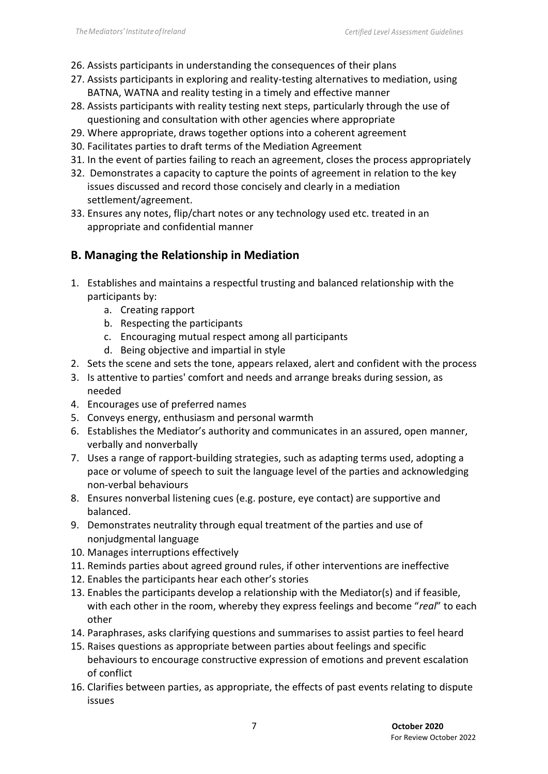- 26. Assists participants in understanding the consequences of their plans
- 27. Assists participants in exploring and reality-testing alternatives to mediation, using BATNA, WATNA and reality testing in a timely and effective manner
- 28. Assists participants with reality testing next steps, particularly through the use of questioning and consultation with other agencies where appropriate
- 29. Where appropriate, draws together options into a coherent agreement
- 30. Facilitates parties to draft terms of the Mediation Agreement
- 31. In the event of parties failing to reach an agreement, closes the process appropriately
- 32. Demonstrates a capacity to capture the points of agreement in relation to the key issues discussed and record those concisely and clearly in a mediation settlement/agreement.
- 33. Ensures any notes, flip/chart notes or any technology used etc. treated in an appropriate and confidential manner

## **B. Managing the Relationship in Mediation**

- 1. Establishes and maintains a respectful trusting and balanced relationship with the participants by:
	- a. Creating rapport
	- b. Respecting the participants
	- c. Encouraging mutual respect among all participants
	- d. Being objective and impartial in style
- 2. Sets the scene and sets the tone, appears relaxed, alert and confident with the process
- 3. Is attentive to parties' comfort and needs and arrange breaks during session, as needed
- 4. Encourages use of preferred names
- 5. Conveys energy, enthusiasm and personal warmth
- 6. Establishes the Mediator's authority and communicates in an assured, open manner, verbally and nonverbally
- 7. Uses a range of rapport-building strategies, such as adapting terms used, adopting a pace or volume of speech to suit the language level of the parties and acknowledging non-verbal behaviours
- 8. Ensures nonverbal listening cues (e.g. posture, eye contact) are supportive and balanced.
- 9. Demonstrates neutrality through equal treatment of the parties and use of nonjudgmental language
- 10. Manages interruptions effectively
- 11. Reminds parties about agreed ground rules, if other interventions are ineffective
- 12. Enables the participants hear each other's stories
- 13. Enables the participants develop a relationship with the Mediator(s) and if feasible, with each other in the room, whereby they express feelings and become "*real*" to each other
- 14. Paraphrases, asks clarifying questions and summarises to assist parties to feel heard
- 15. Raises questions as appropriate between parties about feelings and specific behaviours to encourage constructive expression of emotions and prevent escalation of conflict
- 16. Clarifies between parties, as appropriate, the effects of past events relating to dispute issues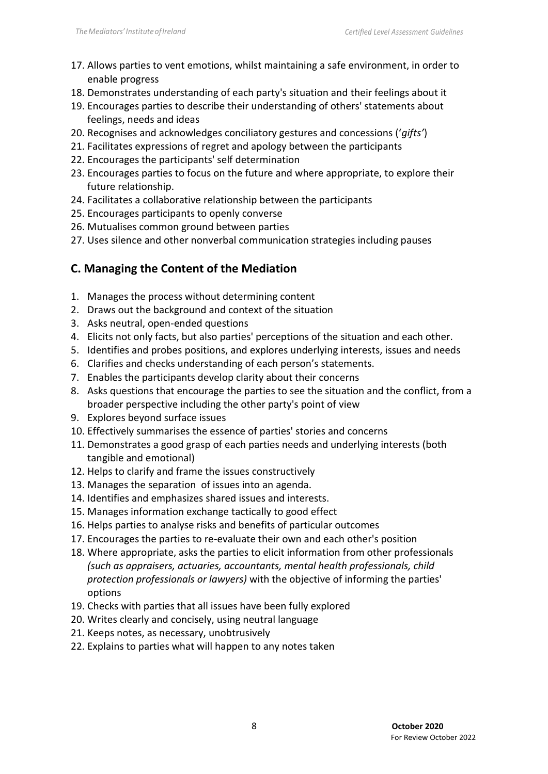- 17. Allows parties to vent emotions, whilst maintaining a safe environment, in order to enable progress
- 18. Demonstrates understanding of each party's situation and their feelings about it
- 19. Encourages parties to describe their understanding of others' statements about feelings, needs and ideas
- 20. Recognises and acknowledges conciliatory gestures and concessions ('*gifts'*)
- 21. Facilitates expressions of regret and apology between the participants
- 22. Encourages the participants' self determination
- 23. Encourages parties to focus on the future and where appropriate, to explore their future relationship.
- 24. Facilitates a collaborative relationship between the participants
- 25. Encourages participants to openly converse
- 26. Mutualises common ground between parties
- 27. Uses silence and other nonverbal communication strategies including pauses

# **C. Managing the Content of the Mediation**

- 1. Manages the process without determining content
- 2. Draws out the background and context of the situation
- 3. Asks neutral, open-ended questions
- 4. Elicits not only facts, but also parties' perceptions of the situation and each other.
- 5. Identifies and probes positions, and explores underlying interests, issues and needs
- 6. Clarifies and checks understanding of each person's statements.
- 7. Enables the participants develop clarity about their concerns
- 8. Asks questions that encourage the parties to see the situation and the conflict, from a broader perspective including the other party's point of view
- 9. Explores beyond surface issues
- 10. Effectively summarises the essence of parties' stories and concerns
- 11. Demonstrates a good grasp of each parties needs and underlying interests (both tangible and emotional)
- 12. Helps to clarify and frame the issues constructively
- 13. Manages the separation of issues into an agenda.
- 14. Identifies and emphasizes shared issues and interests.
- 15. Manages information exchange tactically to good effect
- 16. Helps parties to analyse risks and benefits of particular outcomes
- 17. Encourages the parties to re-evaluate their own and each other's position
- 18. Where appropriate, asks the parties to elicit information from other professionals *(such as appraisers, actuaries, accountants, mental health professionals, child protection professionals or lawyers)* with the objective of informing the parties' options
- 19. Checks with parties that all issues have been fully explored
- 20. Writes clearly and concisely, using neutral language
- 21. Keeps notes, as necessary, unobtrusively
- 22. Explains to parties what will happen to any notes taken